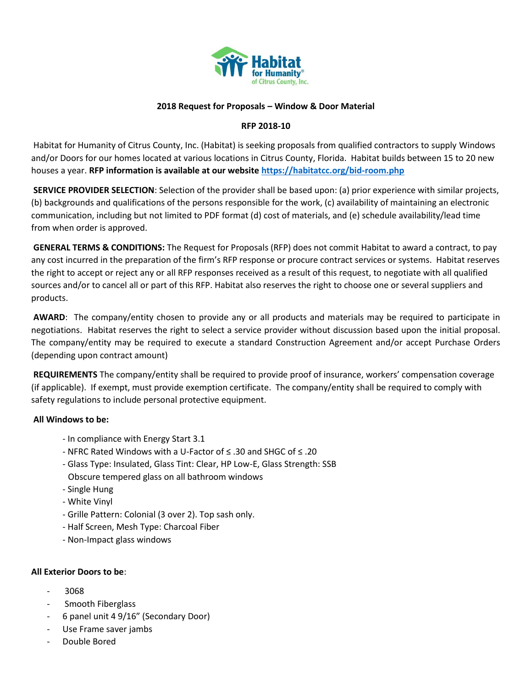

### **2018 Request for Proposals – Window & Door Material**

### **RFP 2018-10**

Habitat for Humanity of Citrus County, Inc. (Habitat) is seeking proposals from qualified contractors to supply Windows and/or Doors for our homes located at various locations in Citrus County, Florida. Habitat builds between 15 to 20 new houses a year. **RFP information is available at our website<https://habitatcc.org/bid-room.php>**

**SERVICE PROVIDER SELECTION**: Selection of the provider shall be based upon: (a) prior experience with similar projects, (b) backgrounds and qualifications of the persons responsible for the work, (c) availability of maintaining an electronic communication, including but not limited to PDF format (d) cost of materials, and (e) schedule availability/lead time from when order is approved.

**GENERAL TERMS & CONDITIONS:** The Request for Proposals (RFP) does not commit Habitat to award a contract, to pay any cost incurred in the preparation of the firm's RFP response or procure contract services or systems. Habitat reserves the right to accept or reject any or all RFP responses received as a result of this request, to negotiate with all qualified sources and/or to cancel all or part of this RFP. Habitat also reserves the right to choose one or several suppliers and products.

**AWARD**: The company/entity chosen to provide any or all products and materials may be required to participate in negotiations. Habitat reserves the right to select a service provider without discussion based upon the initial proposal. The company/entity may be required to execute a standard Construction Agreement and/or accept Purchase Orders (depending upon contract amount)

**REQUIREMENTS** The company/entity shall be required to provide proof of insurance, workers' compensation coverage (if applicable). If exempt, must provide exemption certificate. The company/entity shall be required to comply with safety regulations to include personal protective equipment.

### **All Windows to be:**

- In compliance with Energy Start 3.1
- NFRC Rated Windows with a U-Factor of ≤ .30 and SHGC of ≤ .20
- Glass Type: Insulated, Glass Tint: Clear, HP Low-E, Glass Strength: SSB Obscure tempered glass on all bathroom windows
- Single Hung
- White Vinyl
- Grille Pattern: Colonial (3 over 2). Top sash only.
- Half Screen, Mesh Type: Charcoal Fiber
- Non-Impact glass windows

#### **All Exterior Doors to be**:

- 3068
- Smooth Fiberglass
- 6 panel unit 4 9/16" (Secondary Door)
- Use Frame saver jambs
- Double Bored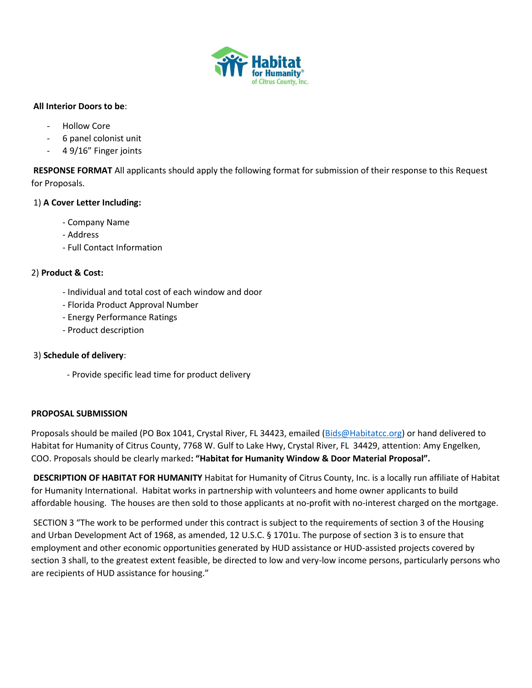

### **All Interior Doors to be**:

- Hollow Core
- 6 panel colonist unit
- 4 9/16" Finger joints

**RESPONSE FORMAT** All applicants should apply the following format for submission of their response to this Request for Proposals.

## 1) **A Cover Letter Including:**

- Company Name
- Address
- Full Contact Information

## 2) **Product & Cost:**

- Individual and total cost of each window and door
- Florida Product Approval Number
- Energy Performance Ratings
- Product description

### 3) **Schedule of delivery**:

- Provide specific lead time for product delivery

### **PROPOSAL SUBMISSION**

Proposals should be mailed (PO Box 1041, Crystal River, FL 34423, emailed [\(Bids@Habitatcc.org\)](mailto:Bids@Habitatcc.org) or hand delivered to Habitat for Humanity of Citrus County, 7768 W. Gulf to Lake Hwy, Crystal River, FL 34429, attention: Amy Engelken, COO. Proposals should be clearly marked**: "Habitat for Humanity Window & Door Material Proposal".** 

**DESCRIPTION OF HABITAT FOR HUMANITY** Habitat for Humanity of Citrus County, Inc. is a locally run affiliate of Habitat for Humanity International. Habitat works in partnership with volunteers and home owner applicants to build affordable housing. The houses are then sold to those applicants at no-profit with no-interest charged on the mortgage.

SECTION 3 "The work to be performed under this contract is subject to the requirements of section 3 of the Housing and Urban Development Act of 1968, as amended, 12 U.S.C. § 1701u. The purpose of section 3 is to ensure that employment and other economic opportunities generated by HUD assistance or HUD-assisted projects covered by section 3 shall, to the greatest extent feasible, be directed to low and very-low income persons, particularly persons who are recipients of HUD assistance for housing."